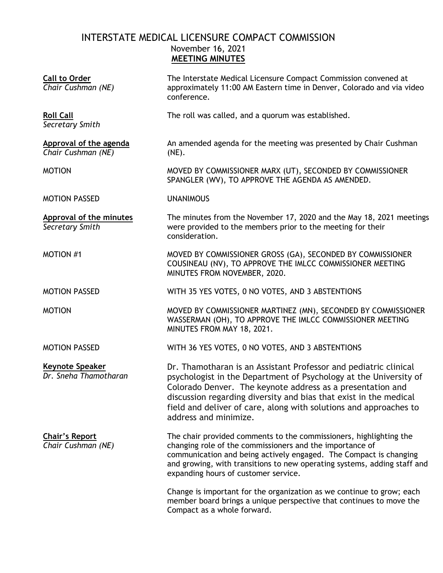# INTERSTATE MEDICAL LICENSURE COMPACT COMMISSION November 16, 2021 **MEETING MINUTES**

| <b>Call to Order</b><br>Chair Cushman (NE)        | The Interstate Medical Licensure Compact Commission convened at<br>approximately 11:00 AM Eastern time in Denver, Colorado and via video<br>conference.                                                                                                                                                                                                                |
|---------------------------------------------------|------------------------------------------------------------------------------------------------------------------------------------------------------------------------------------------------------------------------------------------------------------------------------------------------------------------------------------------------------------------------|
| <b>Roll Call</b><br>Secretary Smith               | The roll was called, and a quorum was established.                                                                                                                                                                                                                                                                                                                     |
| Approval of the agenda<br>Chair Cushman (NE)      | An amended agenda for the meeting was presented by Chair Cushman<br>(NE).                                                                                                                                                                                                                                                                                              |
| <b>MOTION</b>                                     | MOVED BY COMMISSIONER MARX (UT), SECONDED BY COMMISSIONER<br>SPANGLER (WV), TO APPROVE THE AGENDA AS AMENDED.                                                                                                                                                                                                                                                          |
| <b>MOTION PASSED</b>                              | <b>UNANIMOUS</b>                                                                                                                                                                                                                                                                                                                                                       |
| <b>Approval of the minutes</b><br>Secretary Smith | The minutes from the November 17, 2020 and the May 18, 2021 meetings<br>were provided to the members prior to the meeting for their<br>consideration.                                                                                                                                                                                                                  |
| <b>MOTION #1</b>                                  | MOVED BY COMMISSIONER GROSS (GA), SECONDED BY COMMISSIONER<br>COUSINEAU (NV), TO APPROVE THE IMLCC COMMISSIONER MEETING<br>MINUTES FROM NOVEMBER, 2020.                                                                                                                                                                                                                |
| <b>MOTION PASSED</b>                              | WITH 35 YES VOTES, 0 NO VOTES, AND 3 ABSTENTIONS                                                                                                                                                                                                                                                                                                                       |
| <b>MOTION</b>                                     | MOVED BY COMMISSIONER MARTINEZ (MN), SECONDED BY COMMISSIONER<br>WASSERMAN (OH), TO APPROVE THE IMLCC COMMISSIONER MEETING<br>MINUTES FROM MAY 18, 2021.                                                                                                                                                                                                               |
| <b>MOTION PASSED</b>                              | WITH 36 YES VOTES, 0 NO VOTES, AND 3 ABSTENTIONS                                                                                                                                                                                                                                                                                                                       |
| Keynote Speaker<br>Dr. Sneha Thamotharan          | Dr. Thamotharan is an Assistant Professor and pediatric clinical<br>psychologist in the Department of Psychology at the University of<br>Colorado Denver. The keynote address as a presentation and<br>discussion regarding diversity and bias that exist in the medical<br>field and deliver of care, along with solutions and approaches to<br>address and minimize. |
| <b>Chair's Report</b><br>Chair Cushman (NE)       | The chair provided comments to the commissioners, highlighting the<br>changing role of the commissioners and the importance of<br>communication and being actively engaged. The Compact is changing<br>and growing, with transitions to new operating systems, adding staff and<br>expanding hours of customer service.                                                |
|                                                   | Change is important for the organization as we continue to grow; each<br>member board brings a unique perspective that continues to move the<br>Compact as a whole forward.                                                                                                                                                                                            |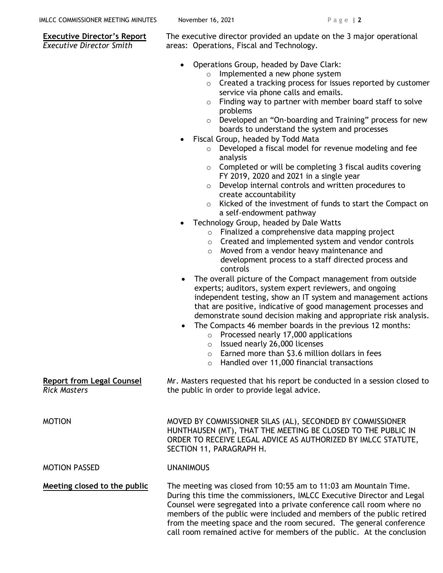### **Executive Director's Report** *Executive Director Smith*

The executive director provided an update on the 3 major operational areas: Operations, Fiscal and Technology.

- Operations Group, headed by Dave Clark:
	- o Implemented a new phone system
	- $\circ$  Created a tracking process for issues reported by customer service via phone calls and emails.
	- $\circ$  Finding way to partner with member board staff to solve problems
	- o Developed an "On-boarding and Training" process for new boards to understand the system and processes
	- Fiscal Group, headed by Todd Mata
		- o Developed a fiscal model for revenue modeling and fee analysis
		- $\circ$  Completed or will be completing 3 fiscal audits covering FY 2019, 2020 and 2021 in a single year
		- o Develop internal controls and written procedures to create accountability
		- o Kicked of the investment of funds to start the Compact on a self-endowment pathway
- Technology Group, headed by Dale Watts
	- o Finalized a comprehensive data mapping project
	- o Created and implemented system and vendor controls
	- o Moved from a vendor heavy maintenance and development process to a staff directed process and controls
- The overall picture of the Compact management from outside experts; auditors, system expert reviewers, and ongoing independent testing, show an IT system and management actions that are positive, indicative of good management processes and demonstrate sound decision making and appropriate risk analysis.
- The Compacts 46 member boards in the previous 12 months:
	- o Processed nearly 17,000 applications
	- o Issued nearly 26,000 licenses
	- $\circ$  Earned more than \$3.6 million dollars in fees
	- o Handled over 11,000 financial transactions

**Report from Legal Counsel** Mr. Masters requested that his report be conducted in a session closed to the public in order to provide legal advice.

MOTION MOVED BY COMMISSIONER SILAS (AL), SECONDED BY COMMISSIONER HUNTHAUSEN (MT), THAT THE MEETING BE CLOSED TO THE PUBLIC IN ORDER TO RECEIVE LEGAL ADVICE AS AUTHORIZED BY IMLCC STATUTE, SECTION 11, PARAGRAPH H.

### MOTION PASSED UNANIMOUS

*Rick Masters*

**Meeting closed to the public** The meeting was closed from 10:55 am to 11:03 am Mountain Time. During this time the commissioners, IMLCC Executive Director and Legal Counsel were segregated into a private conference call room where no members of the public were included and members of the public retired from the meeting space and the room secured. The general conference call room remained active for members of the public. At the conclusion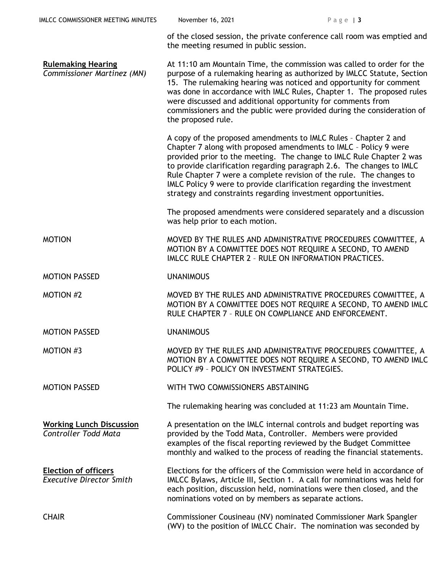|                                                                | of the closed session, the private conference call room was emptied and<br>the meeting resumed in public session.                                                                                                                                                                                                                                                                                                                                                                                   |
|----------------------------------------------------------------|-----------------------------------------------------------------------------------------------------------------------------------------------------------------------------------------------------------------------------------------------------------------------------------------------------------------------------------------------------------------------------------------------------------------------------------------------------------------------------------------------------|
| <b>Rulemaking Hearing</b><br>Commissioner Martinez (MN)        | At 11:10 am Mountain Time, the commission was called to order for the<br>purpose of a rulemaking hearing as authorized by IMLCC Statute, Section<br>15. The rulemaking hearing was noticed and opportunity for comment<br>was done in accordance with IMLC Rules, Chapter 1. The proposed rules<br>were discussed and additional opportunity for comments from<br>commissioners and the public were provided during the consideration of<br>the proposed rule.                                      |
|                                                                | A copy of the proposed amendments to IMLC Rules - Chapter 2 and<br>Chapter 7 along with proposed amendments to IMLC - Policy 9 were<br>provided prior to the meeting. The change to IMLC Rule Chapter 2 was<br>to provide clarification regarding paragraph 2.6. The changes to IMLC<br>Rule Chapter 7 were a complete revision of the rule. The changes to<br>IMLC Policy 9 were to provide clarification regarding the investment<br>strategy and constraints regarding investment opportunities. |
|                                                                | The proposed amendments were considered separately and a discussion<br>was help prior to each motion.                                                                                                                                                                                                                                                                                                                                                                                               |
| <b>MOTION</b>                                                  | MOVED BY THE RULES AND ADMINISTRATIVE PROCEDURES COMMITTEE, A<br>MOTION BY A COMMITTEE DOES NOT REQUIRE A SECOND, TO AMEND<br>IMLCC RULE CHAPTER 2 - RULE ON INFORMATION PRACTICES.                                                                                                                                                                                                                                                                                                                 |
| <b>MOTION PASSED</b>                                           | <b>UNANIMOUS</b>                                                                                                                                                                                                                                                                                                                                                                                                                                                                                    |
| <b>MOTION #2</b>                                               | MOVED BY THE RULES AND ADMINISTRATIVE PROCEDURES COMMITTEE, A<br>MOTION BY A COMMITTEE DOES NOT REQUIRE A SECOND, TO AMEND IMLC<br>RULE CHAPTER 7 - RULE ON COMPLIANCE AND ENFORCEMENT.                                                                                                                                                                                                                                                                                                             |
| <b>MOTION PASSED</b>                                           | <b>UNANIMOUS</b>                                                                                                                                                                                                                                                                                                                                                                                                                                                                                    |
| <b>MOTION #3</b>                                               | MOVED BY THE RULES AND ADMINISTRATIVE PROCEDURES COMMITTEE, A<br>MOTION BY A COMMITTEE DOES NOT REQUIRE A SECOND, TO AMEND IMLC<br>POLICY #9 - POLICY ON INVESTMENT STRATEGIES.                                                                                                                                                                                                                                                                                                                     |
| <b>MOTION PASSED</b>                                           | WITH TWO COMMISSIONERS ABSTAINING                                                                                                                                                                                                                                                                                                                                                                                                                                                                   |
|                                                                | The rulemaking hearing was concluded at 11:23 am Mountain Time.                                                                                                                                                                                                                                                                                                                                                                                                                                     |
| <b>Working Lunch Discussion</b><br><b>Controller Todd Mata</b> | A presentation on the IMLC internal controls and budget reporting was<br>provided by the Todd Mata, Controller. Members were provided<br>examples of the fiscal reporting reviewed by the Budget Committee<br>monthly and walked to the process of reading the financial statements.                                                                                                                                                                                                                |
| <b>Election of officers</b><br><b>Executive Director Smith</b> | Elections for the officers of the Commission were held in accordance of<br>IMLCC Bylaws, Article III, Section 1. A call for nominations was held for<br>each position, discussion held, nominations were then closed, and the<br>nominations voted on by members as separate actions.                                                                                                                                                                                                               |
| <b>CHAIR</b>                                                   | Commissioner Cousineau (NV) nominated Commissioner Mark Spangler<br>(WV) to the position of IMLCC Chair. The nomination was seconded by                                                                                                                                                                                                                                                                                                                                                             |

IMLCC COMMISSIONER MEETING MINUTES November 16, 2021 Page | 3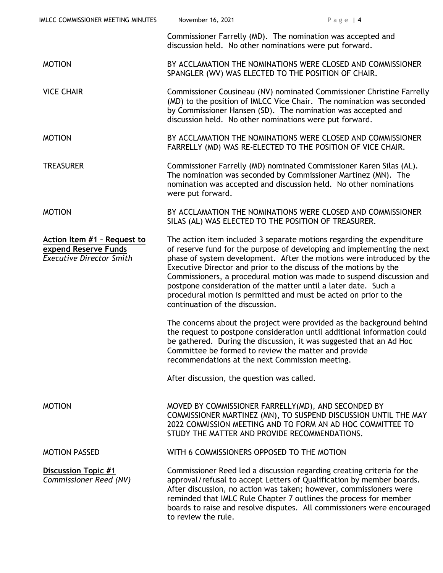| IMLCC COMMISSIONER MEETING MINUTES                                                     | November 16, 2021                                                                                                                                                                                                                                                                                                                                                                                                                                                                                                                                 | Page $ 4$                                                                                                                                                                                                                                                                                                                                                             |  |
|----------------------------------------------------------------------------------------|---------------------------------------------------------------------------------------------------------------------------------------------------------------------------------------------------------------------------------------------------------------------------------------------------------------------------------------------------------------------------------------------------------------------------------------------------------------------------------------------------------------------------------------------------|-----------------------------------------------------------------------------------------------------------------------------------------------------------------------------------------------------------------------------------------------------------------------------------------------------------------------------------------------------------------------|--|
|                                                                                        | discussion held. No other nominations were put forward.                                                                                                                                                                                                                                                                                                                                                                                                                                                                                           | Commissioner Farrelly (MD). The nomination was accepted and                                                                                                                                                                                                                                                                                                           |  |
| <b>MOTION</b>                                                                          | BY ACCLAMATION THE NOMINATIONS WERE CLOSED AND COMMISSIONER<br>SPANGLER (WV) WAS ELECTED TO THE POSITION OF CHAIR.                                                                                                                                                                                                                                                                                                                                                                                                                                |                                                                                                                                                                                                                                                                                                                                                                       |  |
| <b>VICE CHAIR</b>                                                                      | Commissioner Cousineau (NV) nominated Commissioner Christine Farrelly<br>(MD) to the position of IMLCC Vice Chair. The nomination was seconded<br>by Commissioner Hansen (SD). The nomination was accepted and<br>discussion held. No other nominations were put forward.                                                                                                                                                                                                                                                                         |                                                                                                                                                                                                                                                                                                                                                                       |  |
| <b>MOTION</b>                                                                          |                                                                                                                                                                                                                                                                                                                                                                                                                                                                                                                                                   | BY ACCLAMATION THE NOMINATIONS WERE CLOSED AND COMMISSIONER<br>FARRELLY (MD) WAS RE-ELECTED TO THE POSITION OF VICE CHAIR.                                                                                                                                                                                                                                            |  |
| <b>TREASURER</b>                                                                       | were put forward.                                                                                                                                                                                                                                                                                                                                                                                                                                                                                                                                 | Commissioner Farrelly (MD) nominated Commissioner Karen Silas (AL).<br>The nomination was seconded by Commissioner Martinez (MN). The<br>nomination was accepted and discussion held. No other nominations                                                                                                                                                            |  |
| <b>MOTION</b>                                                                          |                                                                                                                                                                                                                                                                                                                                                                                                                                                                                                                                                   | BY ACCLAMATION THE NOMINATIONS WERE CLOSED AND COMMISSIONER<br>SILAS (AL) WAS ELECTED TO THE POSITION OF TREASURER.                                                                                                                                                                                                                                                   |  |
| Action Item #1 - Request to<br>expend Reserve Funds<br><b>Executive Director Smith</b> | The action item included 3 separate motions regarding the expenditure<br>of reserve fund for the purpose of developing and implementing the next<br>phase of system development. After the motions were introduced by the<br>Executive Director and prior to the discuss of the motions by the<br>Commissioners, a procedural motion was made to suspend discussion and<br>postpone consideration of the matter until a later date. Such a<br>procedural motion is permitted and must be acted on prior to the<br>continuation of the discussion. |                                                                                                                                                                                                                                                                                                                                                                       |  |
|                                                                                        | Committee be formed to review the matter and provide<br>recommendations at the next Commission meeting.                                                                                                                                                                                                                                                                                                                                                                                                                                           | The concerns about the project were provided as the background behind<br>the request to postpone consideration until additional information could<br>be gathered. During the discussion, it was suggested that an Ad Hoc                                                                                                                                              |  |
|                                                                                        | After discussion, the question was called.                                                                                                                                                                                                                                                                                                                                                                                                                                                                                                        |                                                                                                                                                                                                                                                                                                                                                                       |  |
| <b>MOTION</b>                                                                          | STUDY THE MATTER AND PROVIDE RECOMMENDATIONS.                                                                                                                                                                                                                                                                                                                                                                                                                                                                                                     | MOVED BY COMMISSIONER FARRELLY(MD), AND SECONDED BY<br>COMMISSIONER MARTINEZ (MN), TO SUSPEND DISCUSSION UNTIL THE MAY<br>2022 COMMISSION MEETING AND TO FORM AN AD HOC COMMITTEE TO                                                                                                                                                                                  |  |
| <b>MOTION PASSED</b>                                                                   | WITH 6 COMMISSIONERS OPPOSED TO THE MOTION                                                                                                                                                                                                                                                                                                                                                                                                                                                                                                        |                                                                                                                                                                                                                                                                                                                                                                       |  |
| <b>Discussion Topic #1</b><br><b>Commissioner Reed (NV)</b>                            | to review the rule.                                                                                                                                                                                                                                                                                                                                                                                                                                                                                                                               | Commissioner Reed led a discussion regarding creating criteria for the<br>approval/refusal to accept Letters of Qualification by member boards.<br>After discussion, no action was taken; however, commissioners were<br>reminded that IMLC Rule Chapter 7 outlines the process for member<br>boards to raise and resolve disputes. All commissioners were encouraged |  |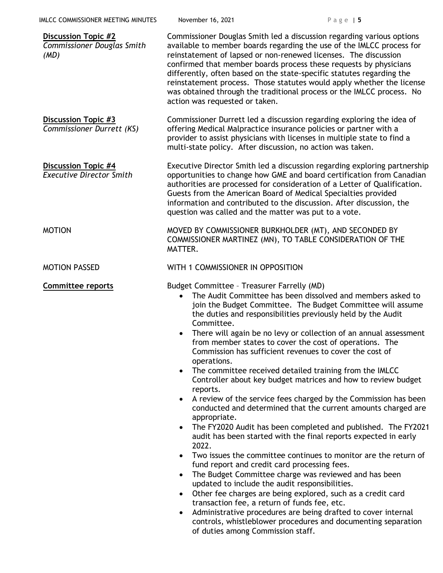| IMLCC COMMISSIONER MEETING MINUTES                                      | November 16, 2021                                                                                                                                                                                                                                                                                                                                                                                                                                                                                                                                   | Page $ 5$                                                                                                                                                                                                                                                                                                                                                                                                                                                                                                                                                                                                                                                                                                                                                                                                                                                                                                                                                                                                                                                                                                              |  |
|-------------------------------------------------------------------------|-----------------------------------------------------------------------------------------------------------------------------------------------------------------------------------------------------------------------------------------------------------------------------------------------------------------------------------------------------------------------------------------------------------------------------------------------------------------------------------------------------------------------------------------------------|------------------------------------------------------------------------------------------------------------------------------------------------------------------------------------------------------------------------------------------------------------------------------------------------------------------------------------------------------------------------------------------------------------------------------------------------------------------------------------------------------------------------------------------------------------------------------------------------------------------------------------------------------------------------------------------------------------------------------------------------------------------------------------------------------------------------------------------------------------------------------------------------------------------------------------------------------------------------------------------------------------------------------------------------------------------------------------------------------------------------|--|
| <b>Discussion Topic #2</b><br><b>Commissioner Douglas Smith</b><br>(MD) | Commissioner Douglas Smith led a discussion regarding various options<br>available to member boards regarding the use of the IMLCC process for<br>reinstatement of lapsed or non-renewed licenses. The discussion<br>confirmed that member boards process these requests by physicians<br>differently, often based on the state-specific statutes regarding the<br>reinstatement process. Those statutes would apply whether the license<br>was obtained through the traditional process or the IMLCC process. No<br>action was requested or taken. |                                                                                                                                                                                                                                                                                                                                                                                                                                                                                                                                                                                                                                                                                                                                                                                                                                                                                                                                                                                                                                                                                                                        |  |
| <b>Discussion Topic #3</b><br>Commissioner Durrett (KS)                 | Commissioner Durrett led a discussion regarding exploring the idea of<br>offering Medical Malpractice insurance policies or partner with a<br>provider to assist physicians with licenses in multiple state to find a<br>multi-state policy. After discussion, no action was taken.                                                                                                                                                                                                                                                                 |                                                                                                                                                                                                                                                                                                                                                                                                                                                                                                                                                                                                                                                                                                                                                                                                                                                                                                                                                                                                                                                                                                                        |  |
| Discussion Topic #4<br><b>Executive Director Smith</b>                  | Executive Director Smith led a discussion regarding exploring partnership<br>opportunities to change how GME and board certification from Canadian<br>authorities are processed for consideration of a Letter of Qualification.<br>Guests from the American Board of Medical Specialties provided<br>information and contributed to the discussion. After discussion, the<br>question was called and the matter was put to a vote.                                                                                                                  |                                                                                                                                                                                                                                                                                                                                                                                                                                                                                                                                                                                                                                                                                                                                                                                                                                                                                                                                                                                                                                                                                                                        |  |
| <b>MOTION</b>                                                           | MOVED BY COMMISSIONER BURKHOLDER (MT), AND SECONDED BY<br>COMMISSIONER MARTINEZ (MN), TO TABLE CONSIDERATION OF THE<br>MATTER.                                                                                                                                                                                                                                                                                                                                                                                                                      |                                                                                                                                                                                                                                                                                                                                                                                                                                                                                                                                                                                                                                                                                                                                                                                                                                                                                                                                                                                                                                                                                                                        |  |
| <b>MOTION PASSED</b>                                                    | WITH 1 COMMISSIONER IN OPPOSITION                                                                                                                                                                                                                                                                                                                                                                                                                                                                                                                   |                                                                                                                                                                                                                                                                                                                                                                                                                                                                                                                                                                                                                                                                                                                                                                                                                                                                                                                                                                                                                                                                                                                        |  |
| <b>Committee reports</b>                                                | Budget Committee - Treasurer Farrelly (MD)<br>Committee.<br>operations.<br>reports.<br>$\bullet$<br>appropriate.<br>2022.<br>fund report and credit card processing fees.<br>$\bullet$<br>updated to include the audit responsibilities.<br>transaction fee, a return of funds fee, etc.<br>$\bullet$                                                                                                                                                                                                                                               | The Audit Committee has been dissolved and members asked to<br>join the Budget Committee. The Budget Committee will assume<br>the duties and responsibilities previously held by the Audit<br>There will again be no levy or collection of an annual assessment<br>from member states to cover the cost of operations. The<br>Commission has sufficient revenues to cover the cost of<br>The committee received detailed training from the IMLCC<br>Controller about key budget matrices and how to review budget<br>A review of the service fees charged by the Commission has been<br>conducted and determined that the current amounts charged are<br>The FY2020 Audit has been completed and published. The FY2021<br>audit has been started with the final reports expected in early<br>Two issues the committee continues to monitor are the return of<br>The Budget Committee charge was reviewed and has been<br>Other fee charges are being explored, such as a credit card<br>Administrative procedures are being drafted to cover internal<br>controls, whistleblower procedures and documenting separation |  |

of duties among Commission staff.